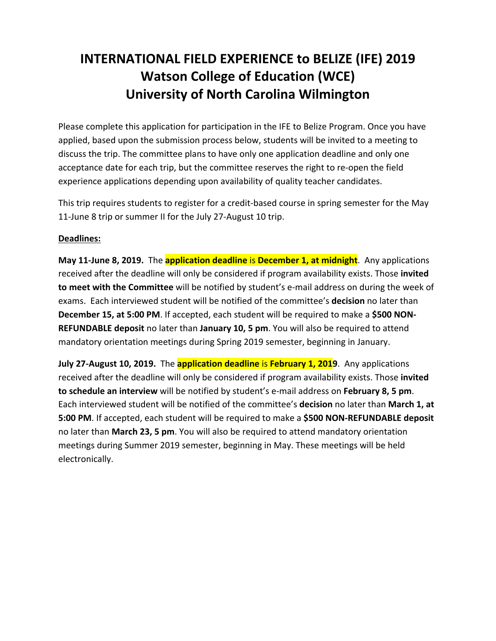## **INTERNATIONAL FIELD EXPERIENCE to BELIZE (IFE) 2019 Watson College of Education (WCE) University of North Carolina Wilmington**

Please complete this application for participation in the IFE to Belize Program. Once you have applied, based upon the submission process below, students will be invited to a meeting to discuss the trip. The committee plans to have only one application deadline and only one acceptance date for each trip, but the committee reserves the right to re‐open the field experience applications depending upon availability of quality teacher candidates.

This trip requires students to register for a credit‐based course in spring semester for the May 11-June 8 trip or summer II for the July 27-August 10 trip.

## **Deadlines:**

**May 11‐June 8, 2019.** The **application deadline** is **December 1, at midnight**. Any applications received after the deadline will only be considered if program availability exists. Those **invited to meet with the Committee** will be notified by student's e‐mail address on during the week of exams. Each interviewed student will be notified of the committee's **decision** no later than **December 15, at 5:00 PM**. If accepted, each student will be required to make a **\$500 NON‐ REFUNDABLE deposit** no later than **January 10, 5 pm**. You will also be required to attend mandatory orientation meetings during Spring 2019 semester, beginning in January.

**July 27‐August 10, 2019.** The **application deadline** is **February 1, 2019**. Any applications received after the deadline will only be considered if program availability exists. Those **invited to schedule an interview** will be notified by student's e‐mail address on **February 8, 5 pm**. Each interviewed student will be notified of the committee's **decision** no later than **March 1, at 5:00 PM**. If accepted, each student will be required to make a **\$500 NON‐REFUNDABLE deposit** no later than **March 23, 5 pm**. You will also be required to attend mandatory orientation meetings during Summer 2019 semester, beginning in May. These meetings will be held electronically.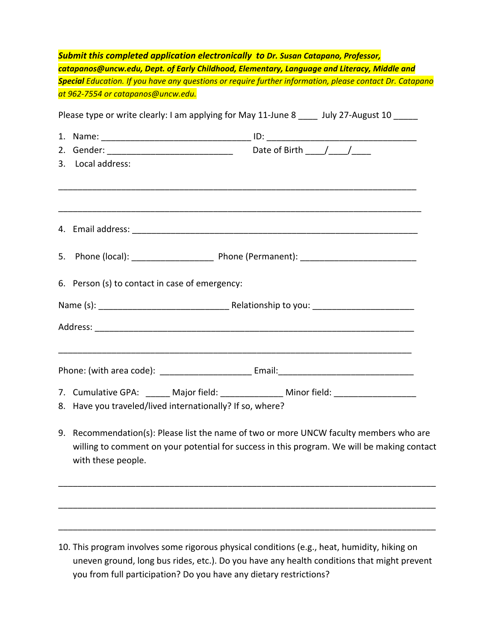| <b>Submit this completed application electronically to Dr. Susan Catapano, Professor,</b><br>catapanos@uncw.edu, Dept. of Early Childhood, Elementary, Language and Literacy, Middle and<br>Special Education. If you have any questions or require further information, please contact Dr. Catapano<br>at 962-7554 or catapanos@uncw.edu.<br>Please type or write clearly: I am applying for May 11-June 8 ____ July 27-August 10 _____ |                                                                                                                                                                                       |
|------------------------------------------------------------------------------------------------------------------------------------------------------------------------------------------------------------------------------------------------------------------------------------------------------------------------------------------------------------------------------------------------------------------------------------------|---------------------------------------------------------------------------------------------------------------------------------------------------------------------------------------|
|                                                                                                                                                                                                                                                                                                                                                                                                                                          |                                                                                                                                                                                       |
|                                                                                                                                                                                                                                                                                                                                                                                                                                          |                                                                                                                                                                                       |
|                                                                                                                                                                                                                                                                                                                                                                                                                                          |                                                                                                                                                                                       |
| 6. Person (s) to contact in case of emergency:                                                                                                                                                                                                                                                                                                                                                                                           |                                                                                                                                                                                       |
|                                                                                                                                                                                                                                                                                                                                                                                                                                          |                                                                                                                                                                                       |
|                                                                                                                                                                                                                                                                                                                                                                                                                                          |                                                                                                                                                                                       |
|                                                                                                                                                                                                                                                                                                                                                                                                                                          |                                                                                                                                                                                       |
| 7. Cumulative GPA: ______ Major field: ______________ Minor field: _____________<br>8. Have you traveled/lived internationally? If so, where?                                                                                                                                                                                                                                                                                            |                                                                                                                                                                                       |
| with these people.                                                                                                                                                                                                                                                                                                                                                                                                                       | 9. Recommendation(s): Please list the name of two or more UNCW faculty members who are<br>willing to comment on your potential for success in this program. We will be making contact |
|                                                                                                                                                                                                                                                                                                                                                                                                                                          |                                                                                                                                                                                       |
|                                                                                                                                                                                                                                                                                                                                                                                                                                          |                                                                                                                                                                                       |

10. This program involves some rigorous physical conditions (e.g., heat, humidity, hiking on uneven ground, long bus rides, etc.). Do you have any health conditions that might prevent you from full participation? Do you have any dietary restrictions?